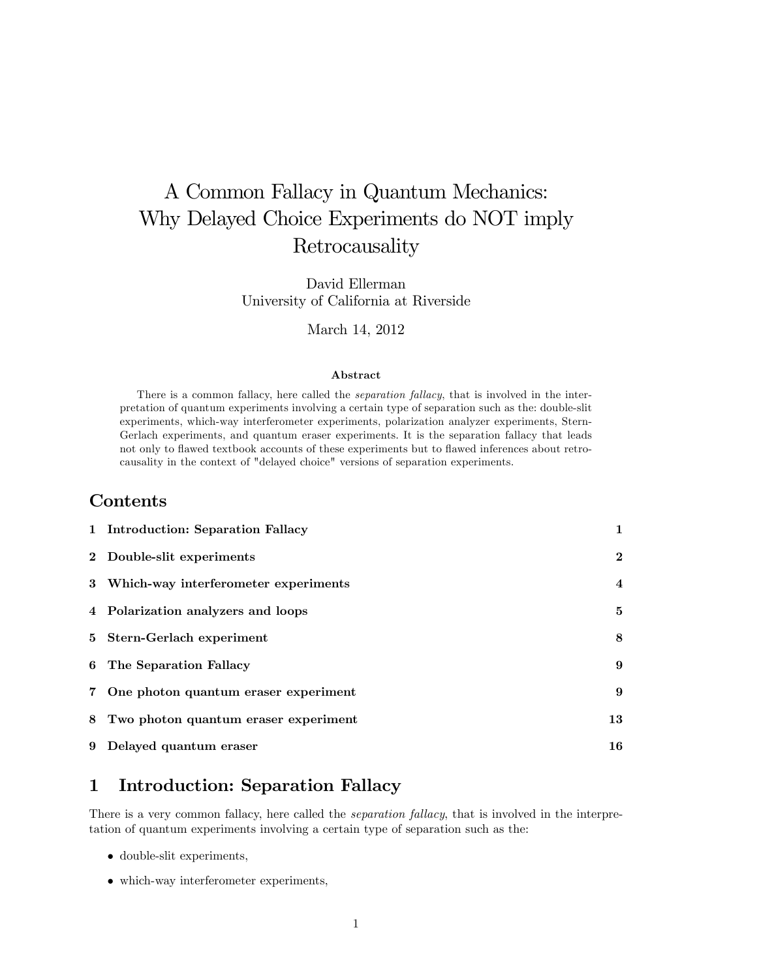# A Common Fallacy in Quantum Mechanics: Why Delayed Choice Experiments do NOT imply Retrocausality

David Ellerman University of California at Riverside

#### March 14, 2012

#### Abstract

There is a common fallacy, here called the *separation fallacy*, that is involved in the interpretation of quantum experiments involving a certain type of separation such as the: double-slit experiments, which-way interferometer experiments, polarization analyzer experiments, Stern-Gerlach experiments, and quantum eraser experiments. It is the separation fallacy that leads not only to flawed textbook accounts of these experiments but to flawed inferences about retrocausality in the context of "delayed choice" versions of separation experiments.

# **Contents**

| 1 Introduction: Separation Fallacy     | $\mathbf 1$    |
|----------------------------------------|----------------|
| 2 Double-slit experiments              | $\bf{2}$       |
| 3 Which-way interferometer experiments | $\overline{4}$ |
| 4 Polarization analyzers and loops     | 5              |
| 5 Stern-Gerlach experiment             | 8              |
| 6 The Separation Fallacy               | 9              |
| 7 One photon quantum eraser experiment | 9              |
| 8 Two photon quantum eraser experiment | 13             |
| 9 Delayed quantum eraser               | 16             |

# 1 Introduction: Separation Fallacy

There is a very common fallacy, here called the *separation fallacy*, that is involved in the interpretation of quantum experiments involving a certain type of separation such as the:

- double-slit experiments,
- which-way interferometer experiments,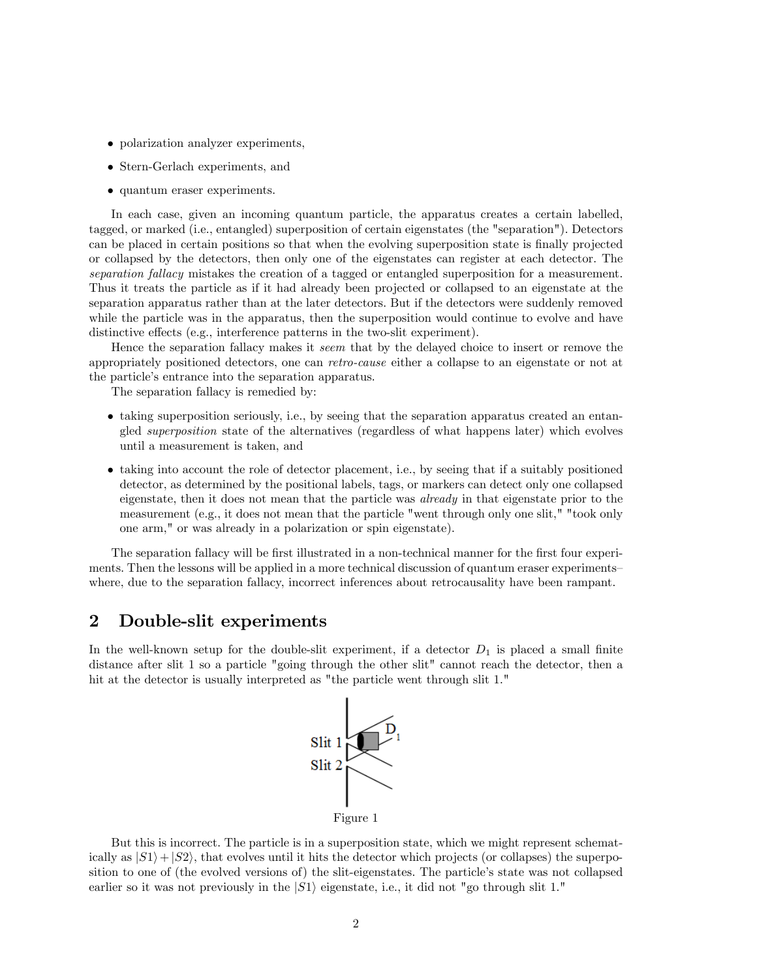- polarization analyzer experiments,
- Stern-Gerlach experiments, and
- quantum eraser experiments.

In each case, given an incoming quantum particle, the apparatus creates a certain labelled, tagged, or marked (i.e., entangled) superposition of certain eigenstates (the "separation"). Detectors can be placed in certain positions so that when the evolving superposition state is finally projected or collapsed by the detectors, then only one of the eigenstates can register at each detector. The separation fallacy mistakes the creation of a tagged or entangled superposition for a measurement. Thus it treats the particle as if it had already been projected or collapsed to an eigenstate at the separation apparatus rather than at the later detectors. But if the detectors were suddenly removed while the particle was in the apparatus, then the superposition would continue to evolve and have distinctive effects (e.g., interference patterns in the two-slit experiment).

Hence the separation fallacy makes it seem that by the delayed choice to insert or remove the appropriately positioned detectors, one can retro-cause either a collapse to an eigenstate or not at the particle's entrance into the separation apparatus.

The separation fallacy is remedied by:

- taking superposition seriously, i.e., by seeing that the separation apparatus created an entangled superposition state of the alternatives (regardless of what happens later) which evolves until a measurement is taken, and
- taking into account the role of detector placement, i.e., by seeing that if a suitably positioned detector, as determined by the positional labels, tags, or markers can detect only one collapsed eigenstate, then it does not mean that the particle was already in that eigenstate prior to the measurement (e.g., it does not mean that the particle "went through only one slit," "took only one arm," or was already in a polarization or spin eigenstate).

The separation fallacy will be first illustrated in a non-technical manner for the first four experiments. Then the lessons will be applied in a more technical discussion of quantum eraser experiments where, due to the separation fallacy, incorrect inferences about retrocausality have been rampant.

# 2 Double-slit experiments

In the well-known setup for the double-slit experiment, if a detector  $D_1$  is placed a small finite distance after slit 1 so a particle "going through the other slit" cannot reach the detector, then a hit at the detector is usually interpreted as "the particle went through slit 1."



But this is incorrect. The particle is in a superposition state, which we might represent schematically as  $|S_1\rangle + |S_2\rangle$ , that evolves until it hits the detector which projects (or collapses) the superposition to one of (the evolved versions of) the slit-eigenstates. The particle's state was not collapsed earlier so it was not previously in the  $|S1\rangle$  eigenstate, i.e., it did not "go through slit 1."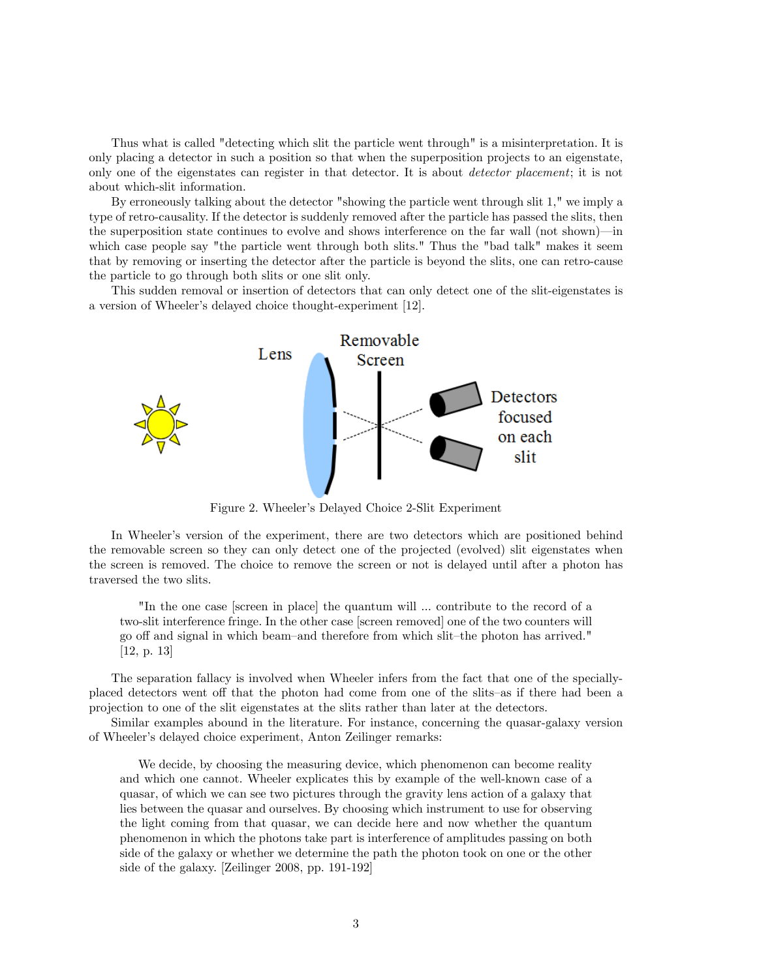Thus what is called "detecting which slit the particle went through" is a misinterpretation. It is only placing a detector in such a position so that when the superposition projects to an eigenstate, only one of the eigenstates can register in that detector. It is about detector placement; it is not about which-slit information.

By erroneously talking about the detector "showing the particle went through slit 1," we imply a type of retro-causality. If the detector is suddenly removed after the particle has passed the slits, then the superposition state continues to evolve and shows interference on the far wall (not shown)—in which case people say "the particle went through both slits." Thus the "bad talk" makes it seem that by removing or inserting the detector after the particle is beyond the slits, one can retro-cause the particle to go through both slits or one slit only.

This sudden removal or insertion of detectors that can only detect one of the slit-eigenstates is a version of Wheeler's delayed choice thought-experiment [12].



Figure 2. Wheeler's Delayed Choice 2-Slit Experiment

In Wheeler's version of the experiment, there are two detectors which are positioned behind the removable screen so they can only detect one of the projected (evolved) slit eigenstates when the screen is removed. The choice to remove the screen or not is delayed until after a photon has traversed the two slits.

"In the one case [screen in place] the quantum will ... contribute to the record of a two-slit interference fringe. In the other case [screen removed] one of the two counters will go off and signal in which beam-and therefore from which slit-the photon has arrived." [12, p. 13]

The separation fallacy is involved when Wheeler infers from the fact that one of the speciallyplaced detectors went off that the photon had come from one of the slits-as if there had been a projection to one of the slit eigenstates at the slits rather than later at the detectors.

Similar examples abound in the literature. For instance, concerning the quasar-galaxy version of Wheeler's delayed choice experiment, Anton Zeilinger remarks:

We decide, by choosing the measuring device, which phenomenon can become reality and which one cannot. Wheeler explicates this by example of the well-known case of a quasar, of which we can see two pictures through the gravity lens action of a galaxy that lies between the quasar and ourselves. By choosing which instrument to use for observing the light coming from that quasar, we can decide here and now whether the quantum phenomenon in which the photons take part is interference of amplitudes passing on both side of the galaxy or whether we determine the path the photon took on one or the other side of the galaxy. [Zeilinger 2008, pp. 191-192]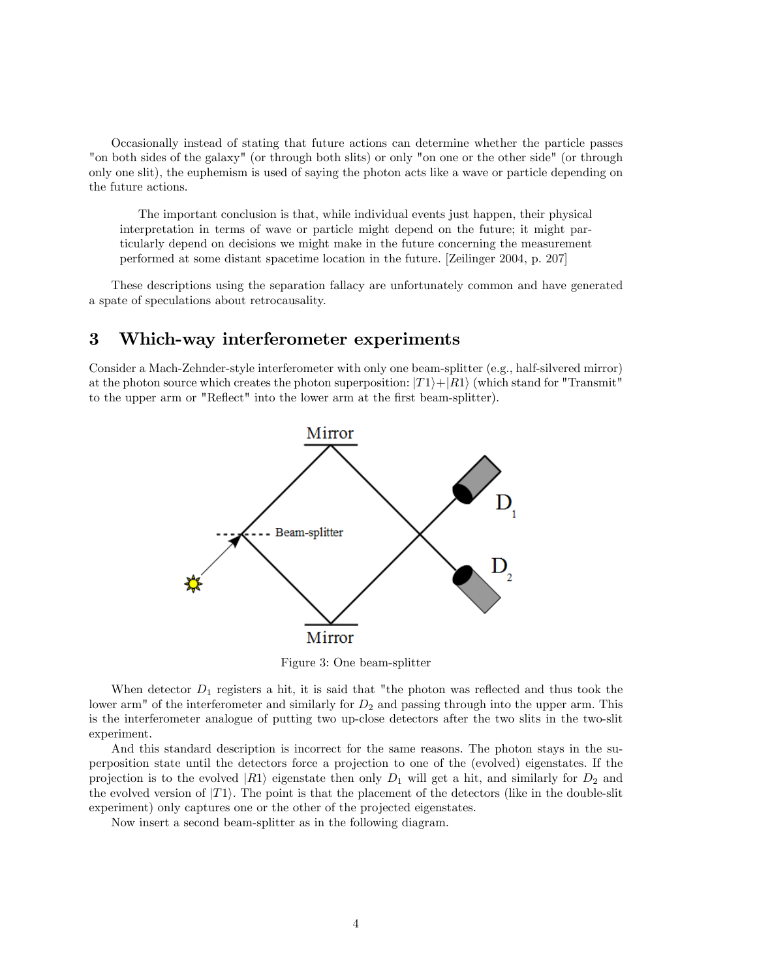Occasionally instead of stating that future actions can determine whether the particle passes "on both sides of the galaxy" (or through both slits) or only "on one or the other side" (or through only one slit), the euphemism is used of saying the photon acts like a wave or particle depending on the future actions.

The important conclusion is that, while individual events just happen, their physical interpretation in terms of wave or particle might depend on the future; it might particularly depend on decisions we might make in the future concerning the measurement performed at some distant spacetime location in the future. [Zeilinger 2004, p. 207]

These descriptions using the separation fallacy are unfortunately common and have generated a spate of speculations about retrocausality.

# 3 Which-way interferometer experiments

Consider a Mach-Zehnder-style interferometer with only one beam-splitter (e.g., half-silvered mirror) at the photon source which creates the photon superposition:  $|T1\rangle+|R1\rangle$  (which stand for "Transmit" to the upper arm or "Reflect" into the lower arm at the first beam-splitter).



Figure 3: One beam-splitter

When detector  $D_1$  registers a hit, it is said that "the photon was reflected and thus took the lower arm" of the interferometer and similarly for  $D_2$  and passing through into the upper arm. This is the interferometer analogue of putting two up-close detectors after the two slits in the two-slit experiment.

And this standard description is incorrect for the same reasons. The photon stays in the superposition state until the detectors force a projection to one of the (evolved) eigenstates. If the projection is to the evolved  $|R1\rangle$  eigenstate then only  $D_1$  will get a hit, and similarly for  $D_2$  and the evolved version of  $|T_1\rangle$ . The point is that the placement of the detectors (like in the double-slit experiment) only captures one or the other of the projected eigenstates.

Now insert a second beam-splitter as in the following diagram.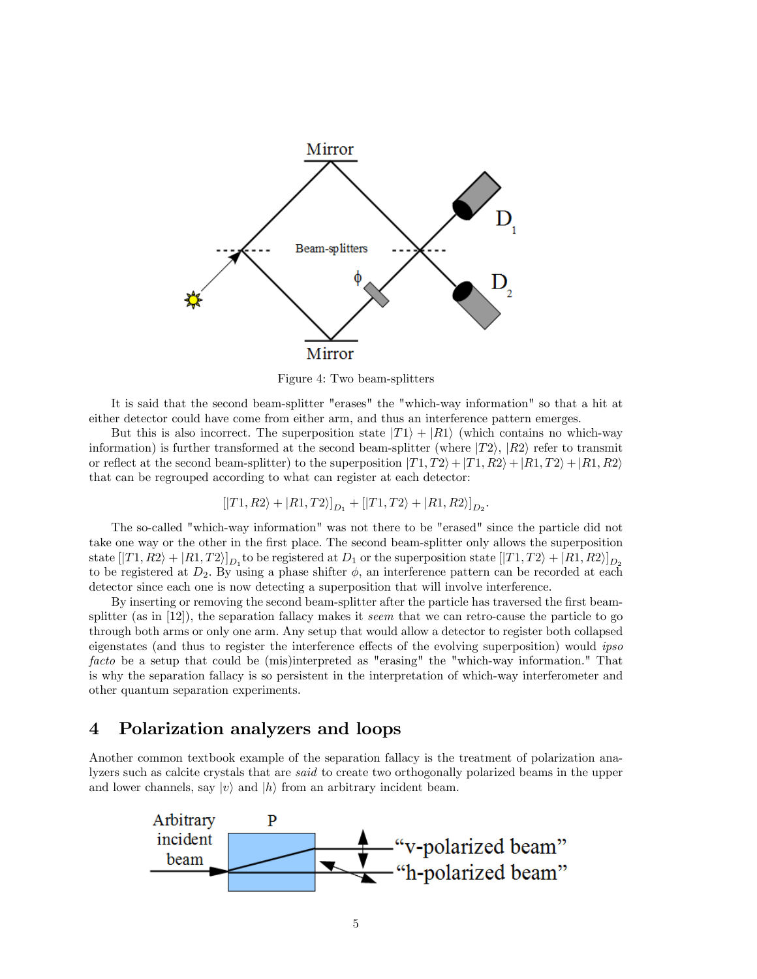

Figure 4: Two beam-splitters

It is said that the second beam-splitter "erases" the "which-way information" so that a hit at either detector could have come from either arm, and thus an interference pattern emerges.

But this is also incorrect. The superposition state  $|T1\rangle + |R1\rangle$  (which contains no which-way information) is further transformed at the second beam-splitter (where  $|T2\rangle$ ,  $|R2\rangle$  refer to transmit or reflect at the second beam-splitter) to the superposition  $|T1,T2\rangle+|T1,R2\rangle+|R1,T2\rangle+|R1,R2\rangle$ that can be regrouped according to what can register at each detector:

$$
\left[|T1,R2\rangle + |R1,T2\rangle\right]_{D_1} + \left[|T1,T2\rangle + |R1,R2\rangle\right]_{D_2}.
$$

The so-called "which-way information" was not there to be "erased" since the particle did not take one way or the other in the first place. The second beam-splitter only allows the superposition state  $[|T1,R2\rangle + |R1,T2\rangle]_{D_1}$  to be registered at  $D_1$  or the superposition state  $[|T1,T2\rangle + |R1,R2\rangle]_{D_2}$ to be registered at  $D_2$ . By using a phase shifter  $\phi$ , an interference pattern can be recorded at each detector since each one is now detecting a superposition that will involve interference.

By inserting or removing the second beam-splitter after the particle has traversed the first beamsplitter (as in  $[12]$ ), the separation fallacy makes it *seem* that we can retro-cause the particle to go through both arms or only one arm. Any setup that would allow a detector to register both collapsed eigenstates (and thus to register the interference effects of the evolving superposition) would  $ipso$ facto be a setup that could be (mis)interpreted as "erasing" the "which-way information." That is why the separation fallacy is so persistent in the interpretation of which-way interferometer and other quantum separation experiments.

# 4 Polarization analyzers and loops

Another common textbook example of the separation fallacy is the treatment of polarization analyzers such as calcite crystals that are said to create two orthogonally polarized beams in the upper and lower channels, say  $|v\rangle$  and  $|h\rangle$  from an arbitrary incident beam.

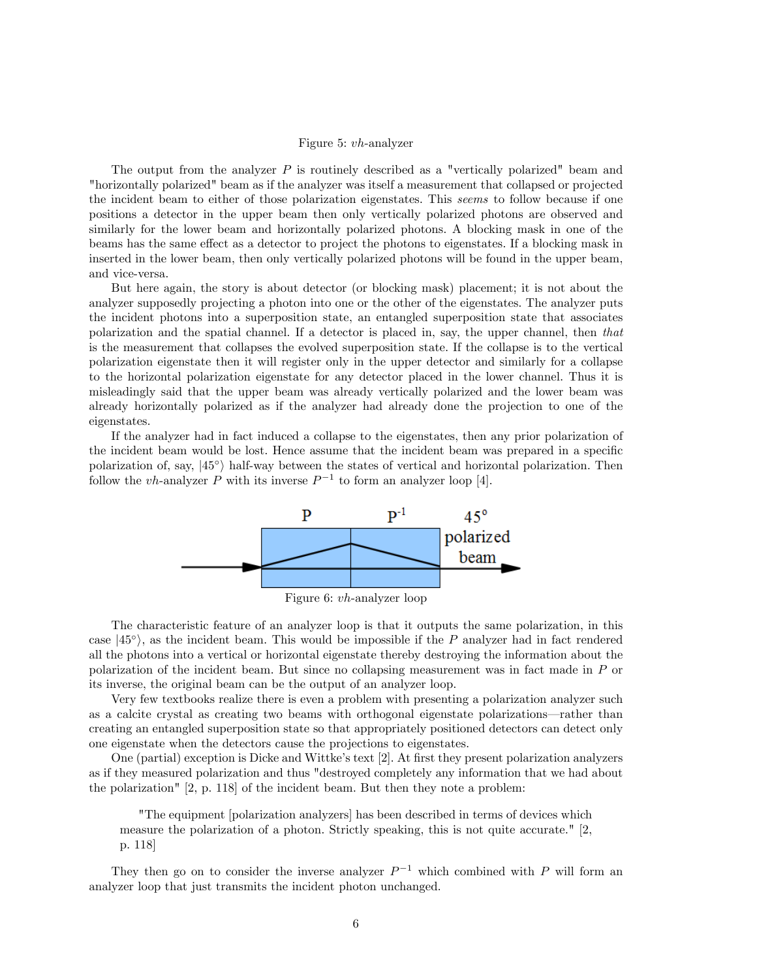#### Figure 5: vh-analyzer

The output from the analyzer  $P$  is routinely described as a "vertically polarized" beam and "horizontally polarized" beam as if the analyzer was itself a measurement that collapsed or projected the incident beam to either of those polarization eigenstates. This seems to follow because if one positions a detector in the upper beam then only vertically polarized photons are observed and similarly for the lower beam and horizontally polarized photons. A blocking mask in one of the beams has the same effect as a detector to project the photons to eigenstates. If a blocking mask in inserted in the lower beam, then only vertically polarized photons will be found in the upper beam, and vice-versa.

But here again, the story is about detector (or blocking mask) placement; it is not about the analyzer supposedly projecting a photon into one or the other of the eigenstates. The analyzer puts the incident photons into a superposition state, an entangled superposition state that associates polarization and the spatial channel. If a detector is placed in, say, the upper channel, then that is the measurement that collapses the evolved superposition state. If the collapse is to the vertical polarization eigenstate then it will register only in the upper detector and similarly for a collapse to the horizontal polarization eigenstate for any detector placed in the lower channel. Thus it is misleadingly said that the upper beam was already vertically polarized and the lower beam was already horizontally polarized as if the analyzer had already done the projection to one of the eigenstates.

If the analyzer had in fact induced a collapse to the eigenstates, then any prior polarization of the incident beam would be lost. Hence assume that the incident beam was prepared in a specific polarization of, say,  $|45^{\circ}\rangle$  half-way between the states of vertical and horizontal polarization. Then follow the *vh*-analyzer P with its inverse  $P^{-1}$  to form an analyzer loop [4].



Figure 6: vh-analyzer loop

The characteristic feature of an analyzer loop is that it outputs the same polarization, in this case  $|45^{\circ}\rangle$ , as the incident beam. This would be impossible if the P analyzer had in fact rendered all the photons into a vertical or horizontal eigenstate thereby destroying the information about the polarization of the incident beam. But since no collapsing measurement was in fact made in P or its inverse, the original beam can be the output of an analyzer loop.

Very few textbooks realize there is even a problem with presenting a polarization analyzer such as a calcite crystal as creating two beams with orthogonal eigenstate polarizations—rather than creating an entangled superposition state so that appropriately positioned detectors can detect only one eigenstate when the detectors cause the projections to eigenstates.

One (partial) exception is Dicke and Wittke's text [2]. At first they present polarization analyzers as if they measured polarization and thus "destroyed completely any information that we had about the polarization" [2, p. 118] of the incident beam. But then they note a problem:

"The equipment [polarization analyzers] has been described in terms of devices which measure the polarization of a photon. Strictly speaking, this is not quite accurate." [2, p. 118]

They then go on to consider the inverse analyzer  $P^{-1}$  which combined with P will form an analyzer loop that just transmits the incident photon unchanged.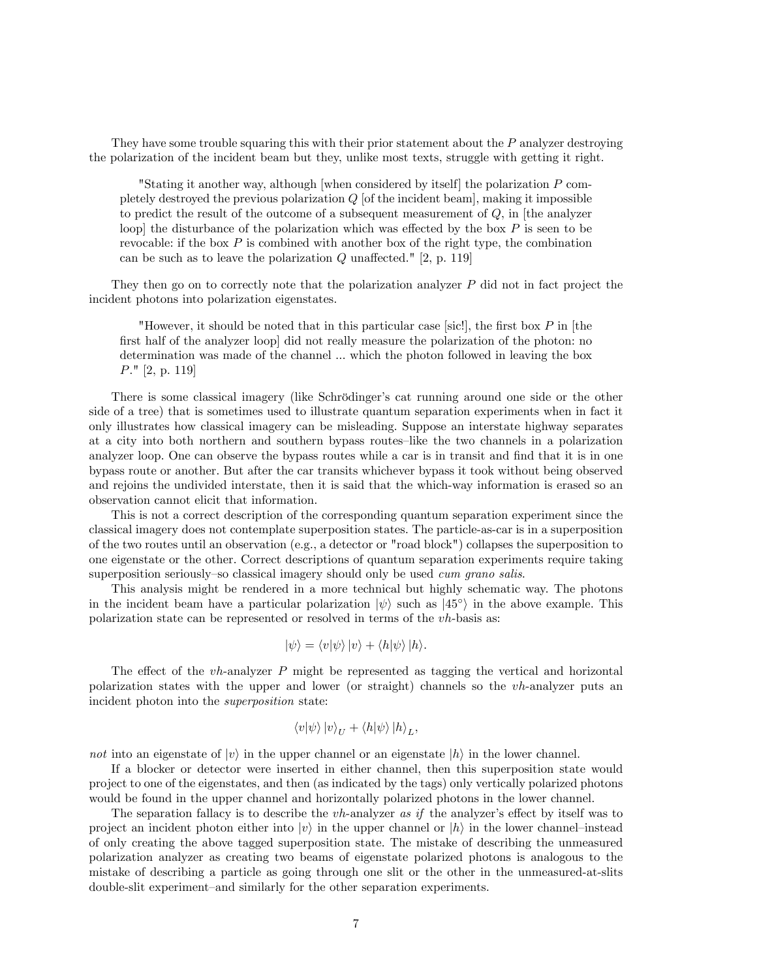They have some trouble squaring this with their prior statement about the  $P$  analyzer destroying the polarization of the incident beam but they, unlike most texts, struggle with getting it right.

"Stating it another way, although [when considered by itself] the polarization P completely destroyed the previous polarization  $Q$  [of the incident beam], making it impossible to predict the result of the outcome of a subsequent measurement of Q, in [the analyzer loop] the disturbance of the polarization which was effected by the box  $P$  is seen to be revocable: if the box  $P$  is combined with another box of the right type, the combination can be such as to leave the polarization  $Q$  unaffected." [2, p. 119]

They then go on to correctly note that the polarization analyzer  $P$  did not in fact project the incident photons into polarization eigenstates.

"However, it should be noted that in this particular case [sic]], the first box  $P$  in [the first half of the analyzer loop] did not really measure the polarization of the photon: no determination was made of the channel ... which the photon followed in leaving the box P." [2, p. 119]

There is some classical imagery (like Schrödinger's cat running around one side or the other side of a tree) that is sometimes used to illustrate quantum separation experiments when in fact it only illustrates how classical imagery can be misleading. Suppose an interstate highway separates at a city into both northern and southern bypass routes-like the two channels in a polarization analyzer loop. One can observe the bypass routes while a car is in transit and find that it is in one bypass route or another. But after the car transits whichever bypass it took without being observed and rejoins the undivided interstate, then it is said that the which-way information is erased so an observation cannot elicit that information.

This is not a correct description of the corresponding quantum separation experiment since the classical imagery does not contemplate superposition states. The particle-as-car is in a superposition of the two routes until an observation (e.g., a detector or "road block") collapses the superposition to one eigenstate or the other. Correct descriptions of quantum separation experiments require taking superposition seriously–so classical imagery should only be used *cum grano salis.* 

This analysis might be rendered in a more technical but highly schematic way. The photons in the incident beam have a particular polarization  $|\psi\rangle$  such as  $|45^{\circ}\rangle$  in the above example. This polarization state can be represented or resolved in terms of the vh-basis as:

$$
|\psi\rangle = \langle v|\psi\rangle |v\rangle + \langle h|\psi\rangle |h\rangle.
$$

The effect of the  $vh$ -analyzer P might be represented as tagging the vertical and horizontal polarization states with the upper and lower (or straight) channels so the vh-analyzer puts an incident photon into the superposition state:

$$
\langle v|\psi\rangle|v\rangle_U + \langle h|\psi\rangle|h\rangle_L,
$$

not into an eigenstate of  $|v\rangle$  in the upper channel or an eigenstate  $|h\rangle$  in the lower channel.

If a blocker or detector were inserted in either channel, then this superposition state would project to one of the eigenstates, and then (as indicated by the tags) only vertically polarized photons would be found in the upper channel and horizontally polarized photons in the lower channel.

The separation fallacy is to describe the  $vh$ -analyzer as if the analyzer's effect by itself was to project an incident photon either into  $|v\rangle$  in the upper channel or  $|h\rangle$  in the lower channel–instead of only creating the above tagged superposition state. The mistake of describing the unmeasured polarization analyzer as creating two beams of eigenstate polarized photons is analogous to the mistake of describing a particle as going through one slit or the other in the unmeasured-at-slits double-slit experiment—and similarly for the other separation experiments.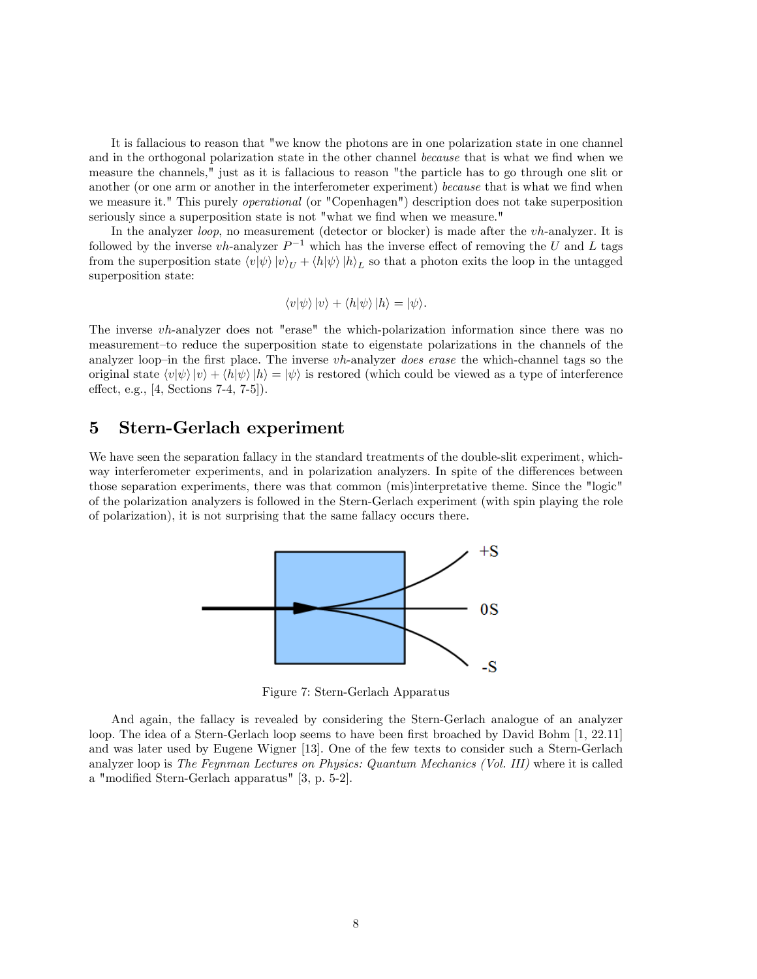It is fallacious to reason that "we know the photons are in one polarization state in one channel and in the orthogonal polarization state in the other channel because that is what we find when we measure the channels," just as it is fallacious to reason "the particle has to go through one slit or another (or one arm or another in the interferometer experiment) because that is what we find when we measure it." This purely *operational* (or "Copenhagen") description does not take superposition seriously since a superposition state is not "what we find when we measure."

In the analyzer *loop*, no measurement (detector or blocker) is made after the *vh*-analyzer. It is followed by the inverse  $vh$ -analyzer  $P^{-1}$  which has the inverse effect of removing the U and L tags from the superposition state  $\langle v|\psi\rangle |v\rangle_U + \langle h|\psi\rangle |h\rangle_L$  so that a photon exits the loop in the untagged superposition state:

$$
\langle v|\psi\rangle|v\rangle + \langle h|\psi\rangle|h\rangle = |\psi\rangle.
$$

The inverse vh-analyzer does not "erase" the which-polarization information since there was no measurement-to reduce the superposition state to eigenstate polarizations in the channels of the analyzer loop-in the first place. The inverse  $vh$ -analyzer does erase the which-channel tags so the original state  $\langle v|\psi\rangle |v\rangle + \langle h|\psi\rangle |h\rangle = |\psi\rangle$  is restored (which could be viewed as a type of interference effect, e.g.,  $[4, \text{Sections } 7-4, 7-5]$ .

### 5 Stern-Gerlach experiment

We have seen the separation fallacy in the standard treatments of the double-slit experiment, whichway interferometer experiments, and in polarization analyzers. In spite of the differences between those separation experiments, there was that common (mis)interpretative theme. Since the "logic" of the polarization analyzers is followed in the Stern-Gerlach experiment (with spin playing the role of polarization), it is not surprising that the same fallacy occurs there.



Figure 7: Stern-Gerlach Apparatus

And again, the fallacy is revealed by considering the Stern-Gerlach analogue of an analyzer loop. The idea of a Stern-Gerlach loop seems to have been first broached by David Bohm [1, 22.11] and was later used by Eugene Wigner [13]. One of the few texts to consider such a Stern-Gerlach analyzer loop is The Feynman Lectures on Physics: Quantum Mechanics (Vol. III) where it is called a "modified Stern-Gerlach apparatus" [3, p. 5-2].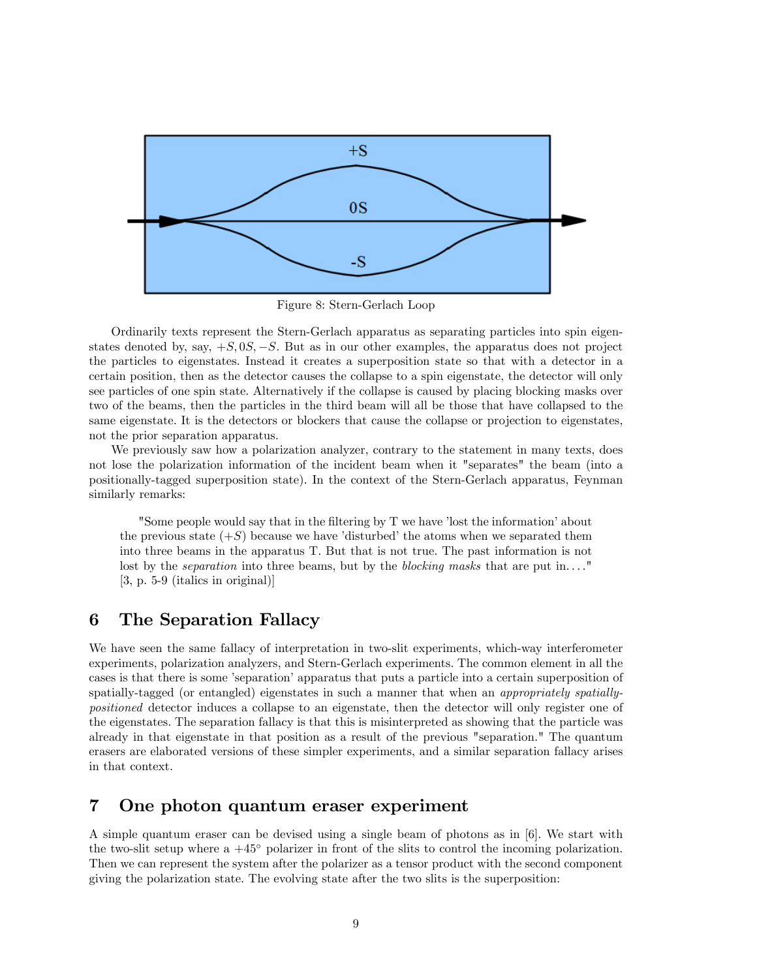

Figure 8: Stern-Gerlach Loop

Ordinarily texts represent the Stern-Gerlach apparatus as separating particles into spin eigenstates denoted by, say,  $+S$ ,  $0S$ ,  $-S$ . But as in our other examples, the apparatus does not project the particles to eigenstates. Instead it creates a superposition state so that with a detector in a certain position, then as the detector causes the collapse to a spin eigenstate, the detector will only see particles of one spin state. Alternatively if the collapse is caused by placing blocking masks over two of the beams, then the particles in the third beam will all be those that have collapsed to the same eigenstate. It is the detectors or blockers that cause the collapse or projection to eigenstates, not the prior separation apparatus.

We previously saw how a polarization analyzer, contrary to the statement in many texts, does not lose the polarization information of the incident beam when it "separates" the beam (into a positionally-tagged superposition state). In the context of the Stern-Gerlach apparatus, Feynman similarly remarks:

"Some people would say that in the filtering by  $T$  we have 'lost the information' about the previous state  $($ + $S$ ) because we have 'disturbed' the atoms when we separated them into three beams in the apparatus T. But that is not true. The past information is not lost by the *separation* into three beams, but by the *blocking masks* that are put in...." [3, p. 5-9 (italics in original)]

# 6 The Separation Fallacy

We have seen the same fallacy of interpretation in two-slit experiments, which-way interferometer experiments, polarization analyzers, and Stern-Gerlach experiments. The common element in all the cases is that there is some 'separation' apparatus that puts a particle into a certain superposition of spatially-tagged (or entangled) eigenstates in such a manner that when an *appropriately spatially*positioned detector induces a collapse to an eigenstate, then the detector will only register one of the eigenstates. The separation fallacy is that this is misinterpreted as showing that the particle was already in that eigenstate in that position as a result of the previous "separation." The quantum erasers are elaborated versions of these simpler experiments, and a similar separation fallacy arises in that context.

### 7 One photon quantum eraser experiment

A simple quantum eraser can be devised using a single beam of photons as in [6]. We start with the two-slit setup where a  $+45^{\circ}$  polarizer in front of the slits to control the incoming polarization. Then we can represent the system after the polarizer as a tensor product with the second component giving the polarization state. The evolving state after the two slits is the superposition: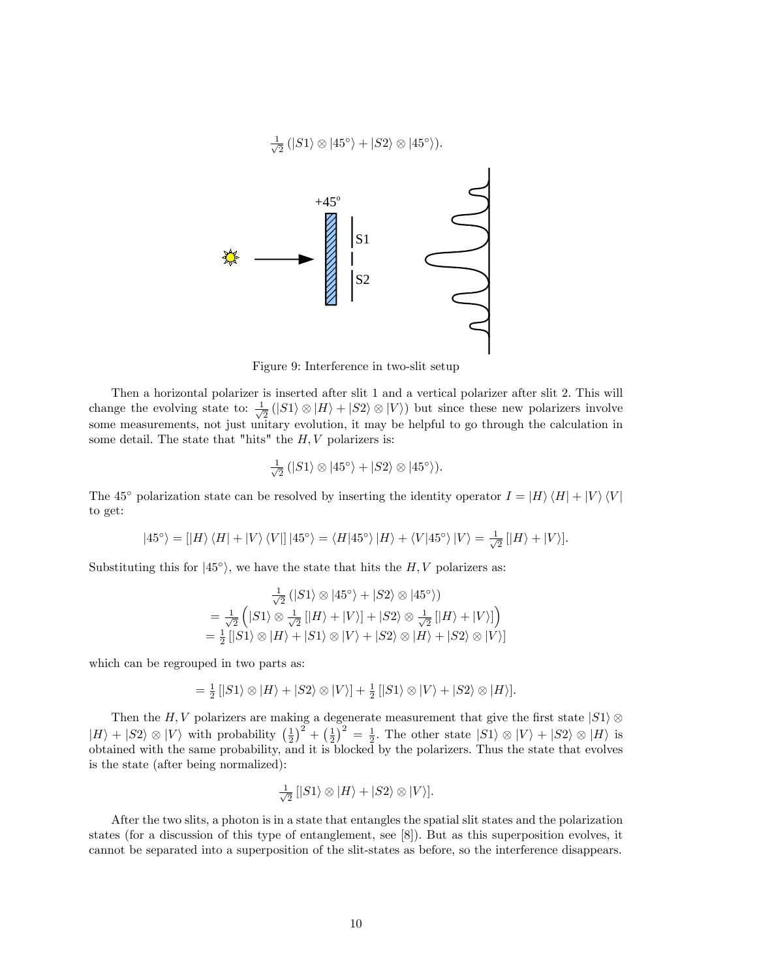

Figure 9: Interference in two-slit setup

Then a horizontal polarizer is inserted after slit 1 and a vertical polarizer after slit 2. This will change the evolving state to:  $\frac{1}{\sqrt{2}}$  $\frac{1}{2}$  (|S1)  $\otimes$  |H $\rangle$  + |S2)  $\otimes$  |V $\rangle$ ) but since these new polarizers involve some measurements, not just unitary evolution, it may be helpful to go through the calculation in some detail. The state that "hits" the  $H, V$  polarizers is:

$$
\frac{1}{\sqrt{2}} (|S1\rangle \otimes |45^{\circ}\rangle + |S2\rangle \otimes |45^{\circ}\rangle).
$$

The 45° polarization state can be resolved by inserting the identity operator  $I = |H\rangle \langle H| + |V\rangle \langle V|$ to get:

$$
|45^{\circ}\rangle = [|H\rangle\langle H| + |V\rangle\langle V|]|45^{\circ}\rangle = \langle H|45^{\circ}\rangle\,|H\rangle + \langle V|45^{\circ}\rangle\,|V\rangle = \frac{1}{\sqrt{2}}\,[|H\rangle + |V\rangle].
$$

Substituting this for  $|45^{\circ}\rangle$ , we have the state that hits the  $H, V$  polarizers as:

$$
\frac{1}{\sqrt{2}} (|S1\rangle \otimes |45^{\circ}\rangle + |S2\rangle \otimes |45^{\circ}\rangle)
$$
\n
$$
= \frac{1}{\sqrt{2}} (|S1\rangle \otimes \frac{1}{\sqrt{2}} [|H\rangle + |V\rangle] + |S2\rangle \otimes \frac{1}{\sqrt{2}} [|H\rangle + |V\rangle])
$$
\n
$$
= \frac{1}{2} [|S1\rangle \otimes |H\rangle + |S1\rangle \otimes |V\rangle + |S2\rangle \otimes |H\rangle + |S2\rangle \otimes |V\rangle]
$$

which can be regrouped in two parts as:

$$
= \frac{1}{2} [|S1\rangle \otimes |H\rangle + |S2\rangle \otimes |V\rangle] + \frac{1}{2} [|S1\rangle \otimes |V\rangle + |S2\rangle \otimes |H\rangle].
$$

Then the H, V polarizers are making a degenerate measurement that give the first state  $|S1\rangle \otimes |H\rangle + |S2\rangle \otimes |V\rangle$  with probability  $\left(\frac{1}{2}\right)^2 + \left(\frac{1}{2}\right)^2 = \frac{1}{2}$ . The other state  $|S1\rangle \otimes |V\rangle + |S2\rangle \otimes |H\rangle$  is obtained with the same probability, and it is blocked by the polarizers. Thus the state that evolves is the state (after being normalized):

$$
\frac{1}{\sqrt{2}} [ |S1\rangle \otimes |H\rangle + |S2\rangle \otimes |V\rangle ].
$$

After the two slits, a photon is in a state that entangles the spatial slit states and the polarization states (for a discussion of this type of entanglement, see [8]). But as this superposition evolves, it cannot be separated into a superposition of the slit-states as before, so the interference disappears.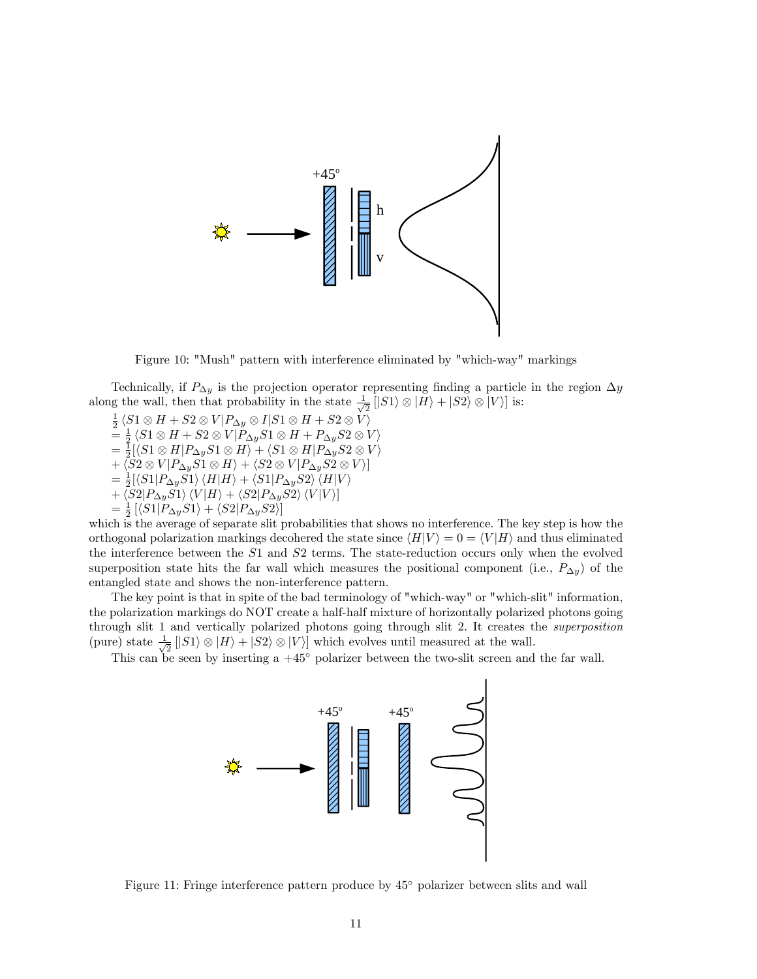

Figure 10: "Mush" pattern with interference eliminated by "which-way" markings

Technically, if  $P_{\Delta y}$  is the projection operator representing finding a particle in the region  $\Delta y$ along the wall, then that probability in the state  $\frac{1}{\sqrt{2}}$  $\frac{1}{2} [|S1\rangle \otimes |H\rangle + |S2\rangle \otimes |V\rangle]$  is:

 $\frac{1}{2} \langle S_1 \otimes H + S_2 \otimes V | P_{\Delta y} \otimes I | S_1 \otimes H + S_2 \otimes V \rangle$  $=\frac{1}{2}\left\langle S_1\otimes H + S_2\otimes V \right|P_{\Delta y}S_1\otimes H + P_{\Delta y}S_2\otimes V$  $=\frac{1}{2}[\langle S1 \otimes H | P_{\Delta y} S1 \otimes H \rangle + \langle S1 \otimes H | P_{\Delta y} S2 \otimes V \rangle]$  $+ \langle S2 \otimes V | P_{\Delta y} S1 \otimes H \rangle + \langle S2 \otimes V | P_{\Delta y} S2 \otimes V \rangle ]$  $=\frac{1}{2}[\left\langle S1|P_{\Delta y}S1\right\rangle \left\langle H|H\right\rangle + \left\langle S1|P_{\Delta y}S2\right\rangle \left\langle H|V\right\rangle$  $+ \langle S2|P_{\Delta y}S1\rangle \langle V|H\rangle + \langle S2|P_{\Delta y}S2\rangle \langle V|V\rangle$ =  $\frac{1}{2} [\langle S1|P_{\Delta y}S1\rangle + \langle S2|P_{\Delta y}S2\rangle]$ 

which is the average of separate slit probabilities that shows no interference. The key step is how the orthogonal polarization markings decohered the state since  $\langle H|V \rangle = 0 = \langle V|H \rangle$  and thus eliminated the interference between the S1 and S2 terms. The state-reduction occurs only when the evolved superposition state hits the far wall which measures the positional component (i.e.,  $P_{\Delta y}$ ) of the entangled state and shows the non-interference pattern.

The key point is that in spite of the bad terminology of "which-way" or "which-slit" information, the polarization markings do NOT create a half-half mixture of horizontally polarized photons going through slit 1 and vertically polarized photons going through slit 2. It creates the superposition (pure) state  $\frac{1}{\sqrt{2}}$  $\frac{1}{2}$  [|S1\)  $\otimes$  |H\) + |S2\)  $\otimes$  |V\] which evolves until measured at the wall.

This can be seen by inserting a  $+45^{\circ}$  polarizer between the two-slit screen and the far wall.



Figure 11: Fringe interference pattern produce by  $45^{\circ}$  polarizer between slits and wall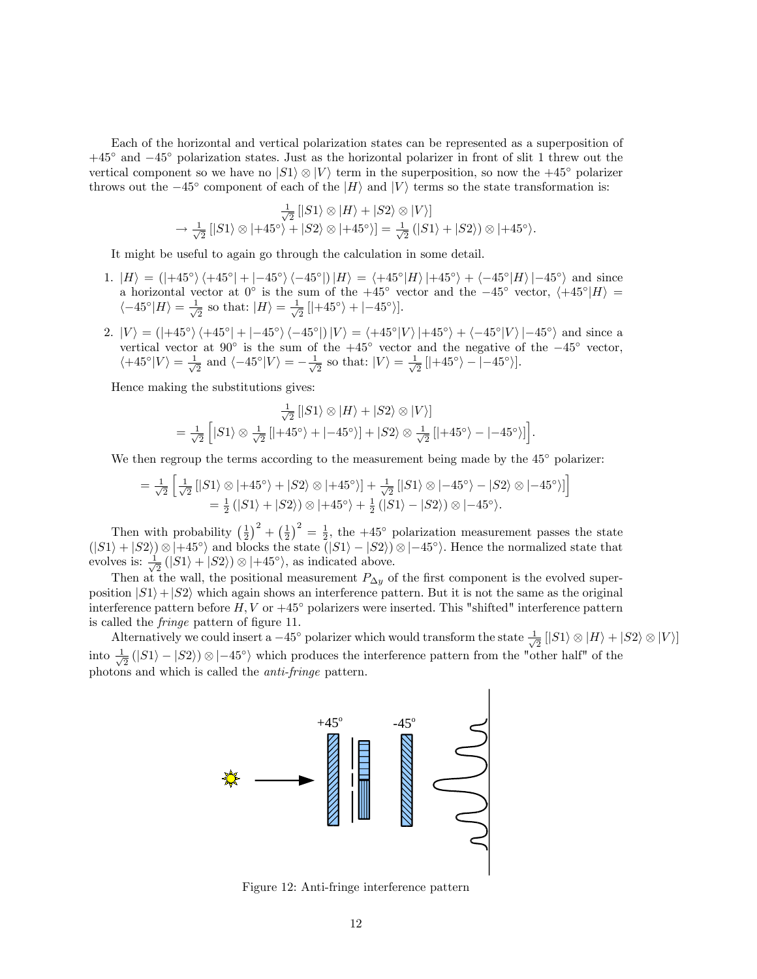Each of the horizontal and vertical polarization states can be represented as a superposition of  $+45^{\circ}$  and  $-45^{\circ}$  polarization states. Just as the horizontal polarizer in front of slit 1 threw out the vertical component so we have no  $|S1\rangle \otimes |V\rangle$  term in the superposition, so now the  $+45^{\circ}$  polarizer throws out the  $-45^{\circ}$  component of each of the  $|H\rangle$  and  $|V\rangle$  terms so the state transformation is:

$$
\frac{\frac{1}{\sqrt{2}}}[|S1\rangle \otimes |H\rangle + |S2\rangle \otimes |V\rangle] \n\rightarrow \frac{1}{\sqrt{2}}[|S1\rangle \otimes |+45^{\circ}\rangle + |S2\rangle \otimes |+45^{\circ}\rangle] = \frac{1}{\sqrt{2}}(|S1\rangle + |S2\rangle) \otimes |+45^{\circ}\rangle.
$$

It might be useful to again go through the calculation in some detail.

- 1.  $|H\rangle = (|+45^\circ\rangle\langle+45^\circ|+|-45^\circ\rangle\langle-45^\circ|) |H\rangle = \langle+45^\circ|H\rangle|+45^\circ\rangle + \langle-45^\circ|H\rangle| -45^\circ\rangle$  and since a horizontal vector at  $0^{\circ}$  is the sum of the  $+45^{\circ}$  vector and the  $-45^{\circ}$  vector,  $\langle +45^{\circ} | H \rangle =$  $\langle -45^\circ|H\rangle = \frac{1}{\sqrt{2}}$  $\frac{1}{2}$  so that:  $|H\rangle = \frac{1}{\sqrt{2}}$  $\frac{1}{2}$ [|+45°) + |-45°)].
- 2.  $|V\rangle = (|+45^{\circ}\rangle\langle+45^{\circ}|+|-45^{\circ}\rangle\langle-45^{\circ}|) |V\rangle = \langle+45^{\circ}|V\rangle|+45^{\circ}\rangle + \langle-45^{\circ}|V\rangle| -45^{\circ}\rangle$  and since a vertical vector at  $90^{\circ}$  is the sum of the  $+45^{\circ}$  vector and the negative of the  $-45^{\circ}$  vector,  $\langle +45^{\circ} | V \rangle = \frac{1}{\sqrt{2}}$  $\frac{1}{2}$  and  $\langle -45^{\circ} | V \rangle = -\frac{1}{\sqrt{2}}$  $\frac{1}{2}$  so that:  $|V\rangle = \frac{1}{\sqrt{2}}$  $\frac{1}{2}$  [ $|+45^{\circ}\rangle - |-45^{\circ}\rangle$ ].

Hence making the substitutions gives:

$$
\frac{1}{\sqrt{2}}[|S1\rangle \otimes |H\rangle + |S2\rangle \otimes |V\rangle]
$$
  
= 
$$
\frac{1}{\sqrt{2}}[|S1\rangle \otimes \frac{1}{\sqrt{2}}[|+45^\circ\rangle + |-45^\circ\rangle] + |S2\rangle \otimes \frac{1}{\sqrt{2}}[|+45^\circ\rangle - |-45^\circ\rangle].
$$

We then regroup the terms according to the measurement being made by the  $45^{\circ}$  polarizer:

$$
= \frac{1}{\sqrt{2}} \left[ \frac{1}{\sqrt{2}} \left[ |S1\rangle \otimes |+45^{\circ}\rangle + |S2\rangle \otimes |+45^{\circ}\rangle \right] + \frac{1}{\sqrt{2}} \left[ |S1\rangle \otimes |-45^{\circ}\rangle - |S2\rangle \otimes |-45^{\circ}\rangle \right] \right]
$$
  

$$
= \frac{1}{2} \left( |S1\rangle + |S2\rangle \right) \otimes |+45^{\circ}\rangle + \frac{1}{2} \left( |S1\rangle - |S2\rangle \right) \otimes |-45^{\circ}\rangle.
$$

Then with probability  $\left(\frac{1}{2}\right)^2 + \left(\frac{1}{2}\right)^2 = \frac{1}{2}$ , the +45° polarization measurement passes the state  $(|S1\rangle + |S2\rangle) \otimes |+45^{\circ}\rangle$  and blocks the state  $(|S1\rangle - |S2\rangle) \otimes |-45^{\circ}\rangle$ . Hence the normalized state that evolves is:  $\frac{1}{\sqrt{2}}$  $\frac{1}{2}(|S1\rangle + |S2\rangle) \otimes |+45^{\circ}\rangle$ , as indicated above.

Then at the wall, the positional measurement  $P_{\Delta y}$  of the first component is the evolved superposition  $|S1\rangle + |S2\rangle$  which again shows an interference pattern. But it is not the same as the original interference pattern before  $H, V$  or  $+45^{\circ}$  polarizers were inserted. This "shifted" interference pattern is called the *fringe* pattern of figure 11.

Alternatively we could insert a  $-45^{\circ}$  polarizer which would transform the state  $\frac{1}{\sqrt{}}$  $\frac{1}{2} \left[ |S1\rangle \otimes |H\rangle + |S2\rangle \otimes |V\rangle \right]$ into  $\frac{1}{\sqrt{2}}$  $\frac{1}{2}(|S1\rangle - |S2\rangle) \otimes |-45^{\circ}\rangle$  which produces the interference pattern from the "other half" of the photons and which is called the anti-fringe pattern.



Figure 12: Anti-fringe interference pattern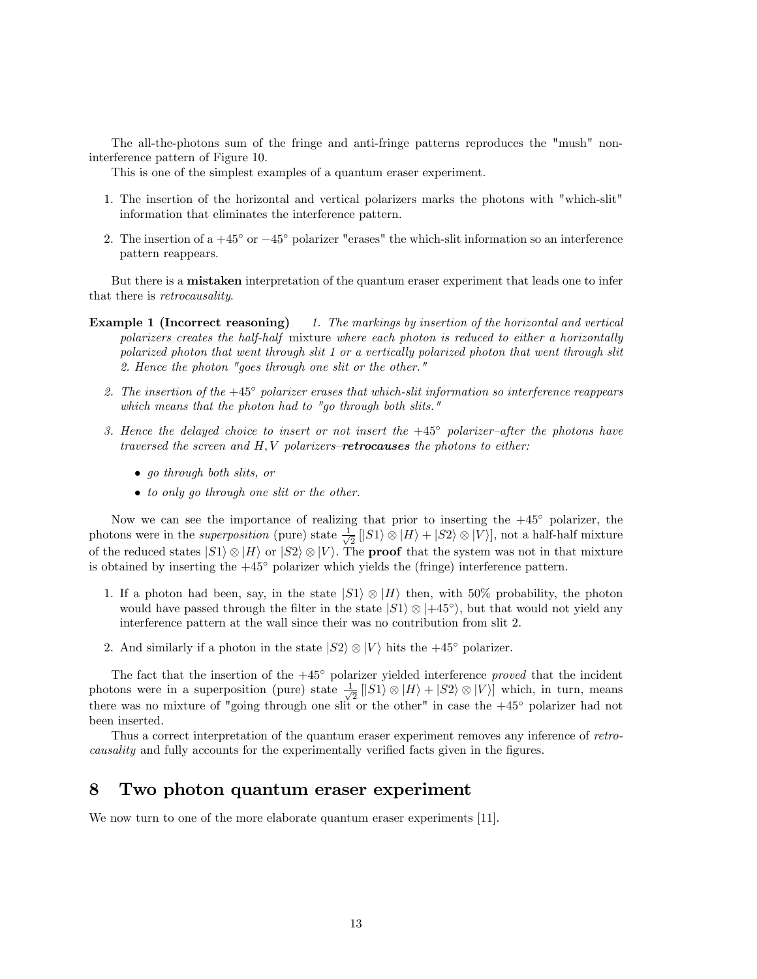The all-the-photons sum of the fringe and anti-fringe patterns reproduces the "mush" noninterference pattern of Figure 10.

This is one of the simplest examples of a quantum eraser experiment.

- 1. The insertion of the horizontal and vertical polarizers marks the photons with "which-slit" information that eliminates the interference pattern.
- 2. The insertion of a  $+45^{\circ}$  or  $-45^{\circ}$  polarizer "erases" the which-slit information so an interference pattern reappears.

But there is a mistaken interpretation of the quantum eraser experiment that leads one to infer that there is retrocausality.

- **Example 1 (Incorrect reasoning)** 1. The markings by insertion of the horizontal and vertical polarizers creates the half-half mixture where each photon is reduced to either a horizontally polarized photon that went through slit 1 or a vertically polarized photon that went through slit 2. Hence the photon "goes through one slit or the other."
	- 2. The insertion of the  $+45^{\circ}$  polarizer erases that which-slit information so interference reappears which means that the photon had to "go through both slits."
	- 3. Hence the delayed choice to insert or not insert the  $+45^{\circ}$  polarizer-after the photons have traversed the screen and  $H, V$  polarizers-**retrocauses** the photons to either:
		- go through both slits, or
		- to only go through one slit or the other.

Now we can see the importance of realizing that prior to inserting the  $+45^{\circ}$  polarizer, the photons were in the *superposition* (pure) state  $\frac{1}{\sqrt{2}}$  $\frac{1}{2}$   $[|S1\rangle \otimes |H\rangle + |S2\rangle \otimes |V\rangle],$  not a half-half mixture of the reduced states  $|S1\rangle \otimes |H\rangle$  or  $|S2\rangle \otimes |V\rangle$ . The **proof** that the system was not in that mixture is obtained by inserting the  $+45^{\circ}$  polarizer which yields the (fringe) interference pattern.

- 1. If a photon had been, say, in the state  $|S1\rangle \otimes |H\rangle$  then, with 50% probability, the photon would have passed through the filter in the state  $|S1\rangle \otimes |+45^{\circ}\rangle$ , but that would not yield any interference pattern at the wall since their was no contribution from slit 2.
- 2. And similarly if a photon in the state  $|S2\rangle \otimes |V\rangle$  hits the  $+45^{\circ}$  polarizer.

The fact that the insertion of the  $+45^{\circ}$  polarizer yielded interference proved that the incident photons were in a superposition (pure) state  $\frac{1}{\sqrt{2}}$  $\frac{1}{2}$  [|S1)  $\otimes$  |H) + |S2)  $\otimes$  |V)] which, in turn, means there was no mixture of "going through one slit or the other" in case the  $+45^{\circ}$  polarizer had not been inserted.

Thus a correct interpretation of the quantum eraser experiment removes any inference of retrocausality and fully accounts for the experimentally verified facts given in the figures.

### 8 Two photon quantum eraser experiment

We now turn to one of the more elaborate quantum eraser experiments [11].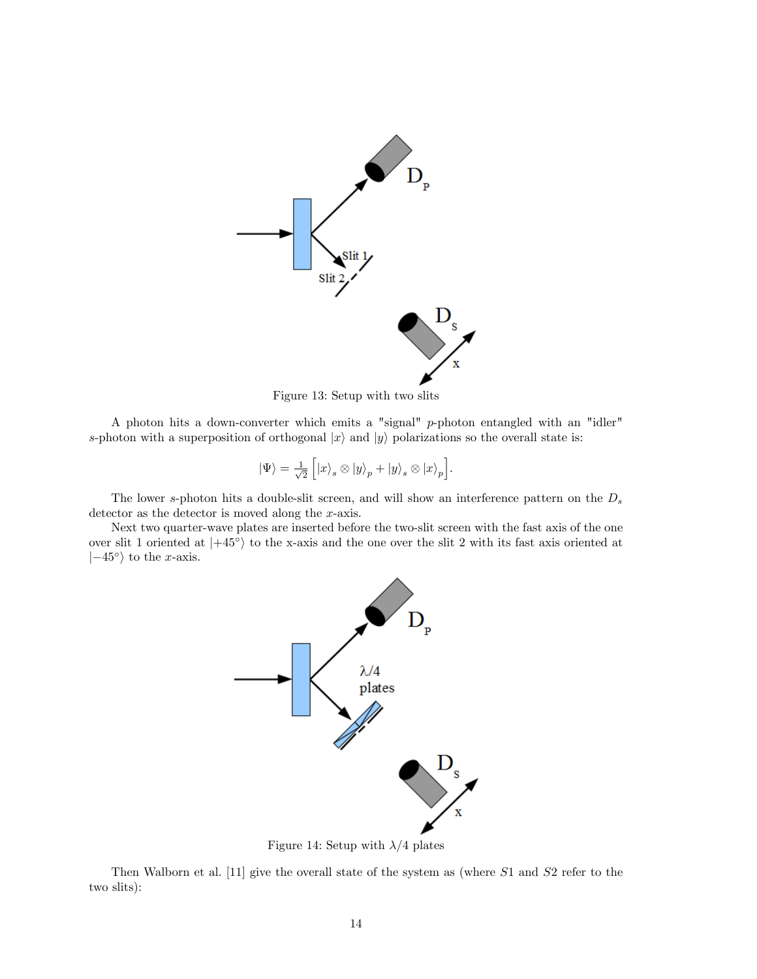

Figure 13: Setup with two slits

A photon hits a down-converter which emits a "signal" p-photon entangled with an "idler" s-photon with a superposition of orthogonal  $|x\rangle$  and  $|y\rangle$  polarizations so the overall state is:

$$
\left|\Psi\right\rangle=\tfrac{1}{\sqrt{2}}\,\Big[\left|x\right\rangle_s\otimes\left|y\right\rangle_p+\left|y\right\rangle_s\otimes\left|x\right\rangle_p\Big].
$$

The lower s-photon hits a double-slit screen, and will show an interference pattern on the  $D_s$ detector as the detector is moved along the x-axis.

Next two quarter-wave plates are inserted before the two-slit screen with the fast axis of the one over slit 1 oriented at  $|+45^{\circ}\rangle$  to the x-axis and the one over the slit 2 with its fast axis oriented at  $\ket{-45^{\circ}}$  to the *x*-axis.



Figure 14: Setup with  $\lambda/4$  plates

Then Walborn et al. [11] give the overall state of the system as (where  $S1$  and  $S2$  refer to the two slits):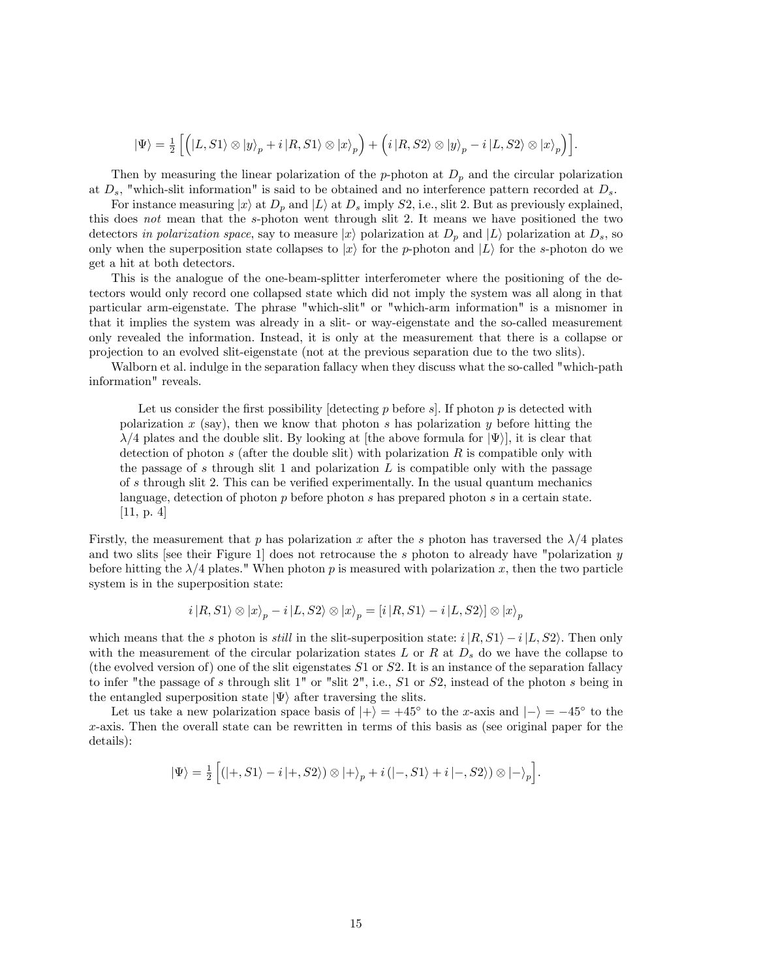$$
\left|\Psi\right\rangle=\tfrac{1}{2}\left[\Bigl(\left|L,S1\right\rangle\otimes\left|y\right\rangle_p+i\left|R,S1\right\rangle\otimes\left|x\right\rangle_p\right)+\Bigl(i\left|R,S2\right\rangle\otimes\left|y\right\rangle_p-i\left|L,S2\right\rangle\otimes\left|x\right\rangle_p\Bigr)\right].
$$

Then by measuring the linear polarization of the  $p$ -photon at  $D_p$  and the circular polarization at  $D_s$ , "which-slit information" is said to be obtained and no interference pattern recorded at  $D_s$ .

For instance measuring  $|x\rangle$  at  $D_p$  and  $|L\rangle$  at  $D_s$  imply  $S2$ , i.e., slit 2. But as previously explained, this does not mean that the s-photon went through slit 2. It means we have positioned the two detectors in polarization space, say to measure  $|x\rangle$  polarization at  $D_p$  and  $|L\rangle$  polarization at  $D_s$ , so only when the superposition state collapses to  $|x\rangle$  for the p-photon and  $|L\rangle$  for the s-photon do we get a hit at both detectors.

This is the analogue of the one-beam-splitter interferometer where the positioning of the detectors would only record one collapsed state which did not imply the system was all along in that particular arm-eigenstate. The phrase "which-slit" or "which-arm information" is a misnomer in that it implies the system was already in a slit- or way-eigenstate and the so-called measurement only revealed the information. Instead, it is only at the measurement that there is a collapse or projection to an evolved slit-eigenstate (not at the previous separation due to the two slits).

Walborn et al. indulge in the separation fallacy when they discuss what the so-called "which-path information" reveals.

Let us consider the first possibility [detecting  $p$  before  $s$ ]. If photon  $p$  is detected with polarization x (say), then we know that photon s has polarization y before hitting the  $\lambda/4$  plates and the double slit. By looking at [the above formula for  $|\Psi\rangle$ ], it is clear that detection of photon s (after the double slit) with polarization  $R$  is compatible only with the passage of s through slit 1 and polarization  $L$  is compatible only with the passage of s through slit 2. This can be verified experimentally. In the usual quantum mechanics language, detection of photon  $p$  before photon  $s$  has prepared photon  $s$  in a certain state. [11, p. 4]

Firstly, the measurement that p has polarization x after the s photon has traversed the  $\lambda/4$  plates and two slits [see their Figure 1] does not retrocause the s photon to already have "polarization y before hitting the  $\lambda/4$  plates." When photon p is measured with polarization x, then the two particle system is in the superposition state:

$$
i | R, S1 \rangle \otimes | x \rangle_p - i | L, S2 \rangle \otimes | x \rangle_p = [i | R, S1 \rangle - i | L, S2 \rangle] \otimes | x \rangle_p
$$

which means that the s photon is still in the slit-superposition state:  $i\ket{R, S1} - i\ket{L, S2}$ . Then only with the measurement of the circular polarization states  $L$  or  $R$  at  $D_s$  do we have the collapse to (the evolved version of) one of the slit eigenstates  $S1$  or  $S2$ . It is an instance of the separation fallacy to infer "the passage of s through slit 1" or "slit 2", i.e., S1 or S2, instead of the photon s being in the entangled superposition state  $|\Psi\rangle$  after traversing the slits.

Let us take a new polarization space basis of  $|+\rangle = +45^{\circ}$  to the x-axis and  $|-\rangle = -45^{\circ}$  to the  $x$ -axis. Then the overall state can be rewritten in terms of this basis as (see original paper for the details):

$$
\left|\Psi\right\rangle=\tfrac{1}{2}\left[\left(|+,S1\rangle-i\left|+,S2\rangle\right)\otimes\left|+\right\rangle_{p}+i\left(|-,S1\rangle+i\left|-,S2\rangle\right)\otimes\left|-\right\rangle_{p}\right].
$$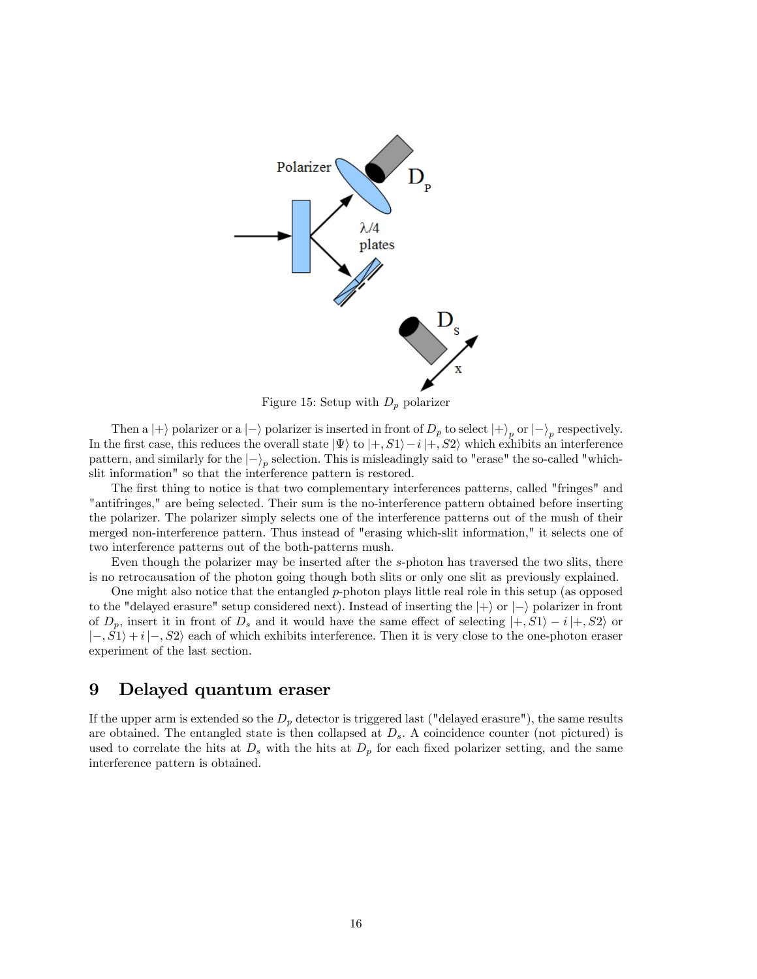

Figure 15: Setup with  $D_p$  polarizer

Then a  $\ket{+}$  polarizer or a  $\ket{-}$  polarizer is inserted in front of  $D_p$  to select  $\ket{+}_p$  or  $\ket{-}_p$  respectively. In the first case, this reduces the overall state  $|\Psi\rangle$  to  $|+, S1\rangle - i|+, S2\rangle$  which exhibits an interference pattern, and similarly for the  $|-\rangle_p$  selection. This is misleadingly said to "erase" the so-called "whichslit information" so that the interference pattern is restored.

The first thing to notice is that two complementary interferences patterns, called "fringes" and "antifringes," are being selected. Their sum is the no-interference pattern obtained before inserting the polarizer. The polarizer simply selects one of the interference patterns out of the mush of their merged non-interference pattern. Thus instead of "erasing which-slit information," it selects one of two interference patterns out of the both-patterns mush.

Even though the polarizer may be inserted after the s-photon has traversed the two slits, there is no retrocausation of the photon going though both slits or only one slit as previously explained.

One might also notice that the entangled  $p$ -photon plays little real role in this setup (as opposed to the "delayed erasure" setup considered next). Instead of inserting the  $|+\rangle$  or  $|-\rangle$  polarizer in front of  $D_p$ , insert it in front of  $D_s$  and it would have the same effect of selecting  $|+, S1\rangle - i|+, S2\rangle$  or  $|-, S1\rangle + i|-, S2\rangle$  each of which exhibits interference. Then it is very close to the one-photon eraser experiment of the last section.

# 9 Delayed quantum eraser

If the upper arm is extended so the  $D_p$  detector is triggered last ("delayed erasure"), the same results are obtained. The entangled state is then collapsed at  $D_s$ . A coincidence counter (not pictured) is used to correlate the hits at  $D<sub>s</sub>$  with the hits at  $D<sub>p</sub>$  for each fixed polarizer setting, and the same interference pattern is obtained.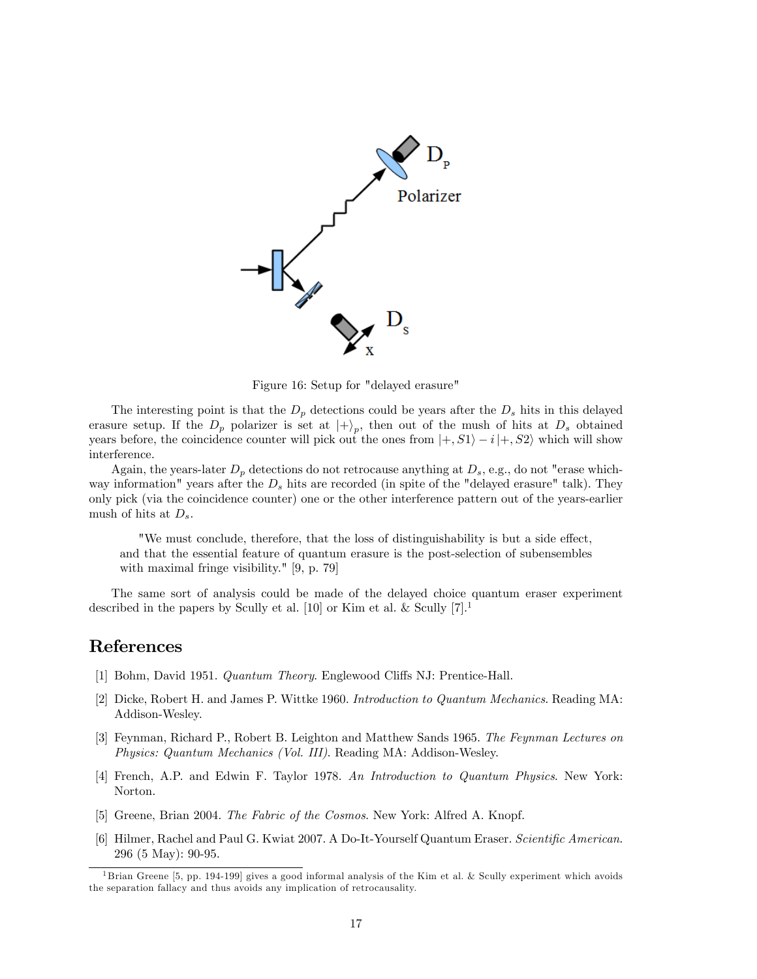

Figure 16: Setup for "delayed erasure"

The interesting point is that the  $D_p$  detections could be years after the  $D_s$  hits in this delayed erasure setup. If the  $D_p$  polarizer is set at  $|+\rangle_p$ , then out of the mush of hits at  $D_s$  obtained years before, the coincidence counter will pick out the ones from  $|+, S1\rangle - i|+, S2\rangle$  which will show interference.

Again, the years-later  $D_p$  detections do not retrocause anything at  $D_s$ , e.g., do not "erase whichway information" years after the  $D_s$  hits are recorded (in spite of the "delayed erasure" talk). They only pick (via the coincidence counter) one or the other interference pattern out of the years-earlier mush of hits at  $D_s$ .

"We must conclude, therefore, that the loss of distinguishability is but a side effect, and that the essential feature of quantum erasure is the post-selection of subensembles with maximal fringe visibility." [9, p. 79]

The same sort of analysis could be made of the delayed choice quantum eraser experiment described in the papers by Scully et al. [10] or Kim et al.  $&$  Scully [7].<sup>1</sup>

# References

- [1] Bohm, David 1951. *Quantum Theory*. Englewood Cliffs NJ: Prentice-Hall.
- [2] Dicke, Robert H. and James P. Wittke 1960. Introduction to Quantum Mechanics. Reading MA: Addison-Wesley.
- [3] Feynman, Richard P., Robert B. Leighton and Matthew Sands 1965. The Feynman Lectures on Physics: Quantum Mechanics (Vol. III). Reading MA: Addison-Wesley.
- [4] French, A.P. and Edwin F. Taylor 1978. An Introduction to Quantum Physics. New York: Norton.
- [5] Greene, Brian 2004. The Fabric of the Cosmos. New York: Alfred A. Knopf.
- [6] Hilmer, Rachel and Paul G. Kwiat 2007. A Do-It-Yourself Quantum Eraser. Scientific American. 296 (5 May): 90-95.

<sup>1</sup> Brian Greene [5, pp. 194-199] gives a good informal analysis of the Kim et al. & Scully experiment which avoids the separation fallacy and thus avoids any implication of retrocausality.